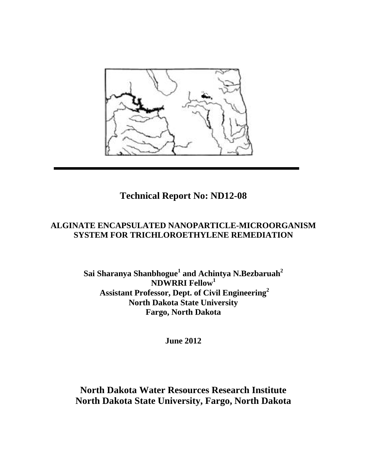

# **Technical Report No: ND12-08**

# **ALGINATE ENCAPSULATED NANOPARTICLE-MICROORGANISM SYSTEM FOR TRICHLOROETHYLENE REMEDIATION**

**Sai Sharanya Shanbhogue<sup>1</sup> and Achintya N.Bezbaruah<sup>2</sup> NDWRRI Fellow<sup>1</sup> Assistant Professor, Dept. of Civil Engineering<sup>2</sup> North Dakota State University Fargo, North Dakota**

**June 2012**

# **North Dakota Water Resources Research Institute North Dakota State University, Fargo, North Dakota**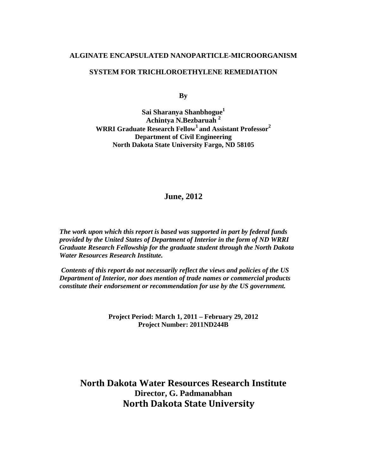# **ALGINATE ENCAPSULATED NANOPARTICLE-MICROORGANISM**

# **SYSTEM FOR TRICHLOROETHYLENE REMEDIATION**

**By**

**Sai Sharanya Shanbhogue1 Achintya N.Bezbaruah <sup>2</sup> WRRI Graduate Research Fellow<sup>1</sup> and Assistant Professor<sup>2</sup> Department of Civil Engineering North Dakota State University Fargo, ND 58105**

# **June, 2012**

*The work upon which this report is based was supported in part by federal funds provided by the United States of Department of Interior in the form of ND WRRI Graduate Research Fellowship for the graduate student through the North Dakota Water Resources Research Institute.*

*Contents of this report do not necessarily reflect the views and policies of the US Department of Interior, nor does mention of trade names or commercial products constitute their endorsement or recommendation for use by the US government.*

> **Project Period: March 1, 2011 – February 29, 2012 Project Number: 2011ND244B**

**North Dakota Water Resources Research Institute Director, G. Padmanabhan North Dakota State University**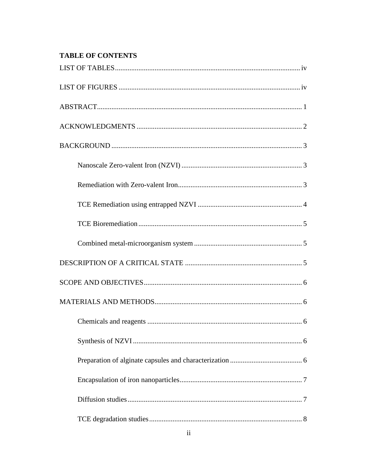# **TABLE OF CONTENTS**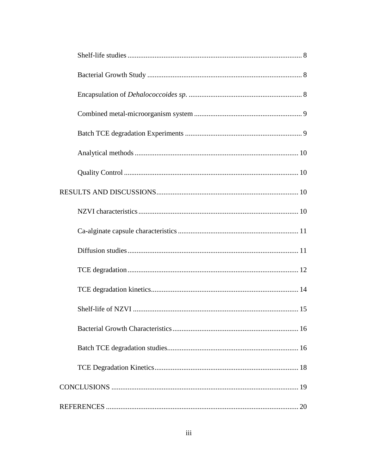<span id="page-3-0"></span>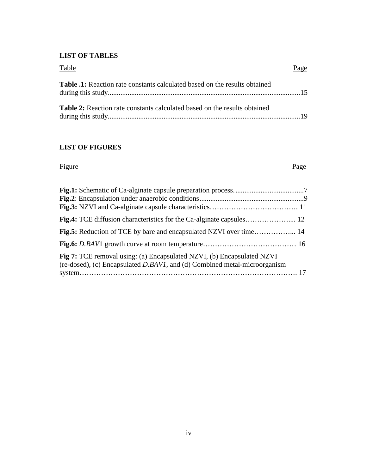# **LIST OF TABLES**

| Table                                                                             | Page |
|-----------------------------------------------------------------------------------|------|
| <b>Table .1:</b> Reaction rate constants calculated based on the results obtained |      |
| <b>Table 2:</b> Reaction rate constants calculated based on the results obtained  |      |

# <span id="page-4-0"></span>**LIST OF FIGURES**

Figure Page

| Fig 7: TCE removal using: (a) Encapsulated NZVI, (b) Encapsulated NZVI<br>(re-dosed), (c) Encapsulated D.BAVI, and (d) Combined metal-microorganism |  |
|-----------------------------------------------------------------------------------------------------------------------------------------------------|--|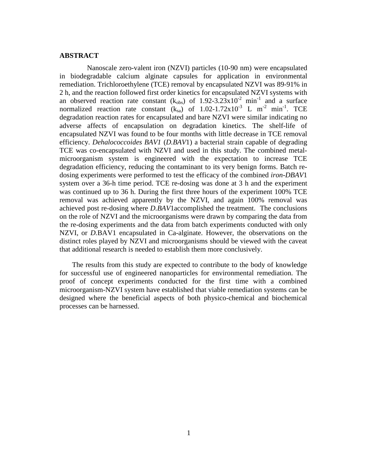# <span id="page-5-0"></span>**ABSTRACT**

Nanoscale zero-valent iron (NZVI) particles (10-90 nm) were encapsulated in biodegradable calcium alginate capsules for application in environmental remediation. Trichloroethylene (TCE) removal by encapsulated NZVI was 89-91% in 2 h, and the reaction followed first order kinetics for encapsulated NZVI systems with an observed reaction rate constant  $(k_{obs})$  of 1.92-3.23x10<sup>-2</sup> min<sup>-1</sup> and a surface normalized reaction rate constant  $(k_{sa})$  of 1.02-1.72x10<sup>-3</sup> L m<sup>-2</sup> min<sup>-1</sup>. TCE degradation reaction rates for encapsulated and bare NZVI were similar indicating no adverse affects of encapsulation on degradation kinetics. The shelf-life of encapsulated NZVI was found to be four months with little decrease in TCE removal efficiency. *Dehalococcoides BAV1* (*D.BAV*1) a bacterial strain capable of degrading TCE was co-encapsulated with NZVI and used in this study. The combined metalmicroorganism system is engineered with the expectation to increase TCE degradation efficiency, reducing the contaminant to its very benign forms. Batch redosing experiments were performed to test the efficacy of the combined *iron-DBAV*1 system over a 36-h time period. TCE re-dosing was done at 3 h and the experiment was continued up to 36 h. During the first three hours of the experiment 100% TCE removal was achieved apparently by the NZVI, and again 100% removal was achieved post re-dosing where *D.BAV*1accomplished the treatment. The conclusions on the role of NZVI and the microorganisms were drawn by comparing the data from the re-dosing experiments and the data from batch experiments conducted with only NZVI, or *D.*BAV1 encapsulated in Ca-alginate. However, the observations on the distinct roles played by NZVI and microorganisms should be viewed with the caveat that additional research is needed to establish them more conclusively.

The results from this study are expected to contribute to the body of knowledge for successful use of engineered nanoparticles for environmental remediation. The proof of concept experiments conducted for the first time with a combined microorganism-NZVI system have established that viable remediation systems can be designed where the beneficial aspects of both physico-chemical and biochemical processes can be harnessed.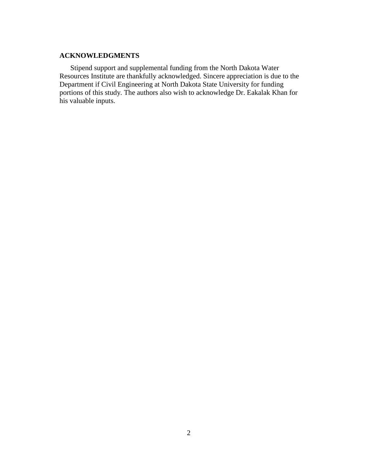# <span id="page-6-0"></span>**ACKNOWLEDGMENTS**

Stipend support and supplemental funding from the North Dakota Water Resources Institute are thankfully acknowledged. Sincere appreciation is due to the Department if Civil Engineering at North Dakota State University for funding portions of this study. The authors also wish to acknowledge Dr. Eakalak Khan for his valuable inputs.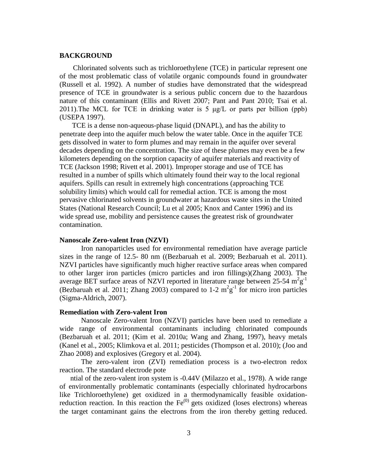## <span id="page-7-0"></span>**BACKGROUND**

Chlorinated solvents such as trichloroethylene (TCE) in particular represent one of the most problematic class of volatile organic compounds found in groundwater (Russell et al. 1992). A number of studies have demonstrated that the widespread presence of TCE in groundwater is a serious public concern due to the hazardous nature of this contaminant (Ellis and Rivett 2007; Pant and Pant 2010; Tsai et al. 2011). The MCL for TCE in drinking water is  $5 \mu g/L$  or parts per billion (ppb) (USEPA 1997).

TCE is a dense non-aqueous-phase liquid (DNAPL), and has the ability to penetrate deep into the aquifer much below the water table. Once in the aquifer TCE gets dissolved in water to form plumes and may remain in the aquifer over several decades depending on the concentration. The size of these plumes may even be a few kilometers depending on the sorption capacity of aquifer materials and reactivity of TCE (Jackson 1998; Rivett et al. 2001). Improper storage and use of TCE has resulted in a number of spills which ultimately found their way to the local regional aquifers. Spills can result in extremely high concentrations (approaching TCE solubility limits) which would call for remedial action. TCE is among the most pervasive chlorinated solvents in groundwater at hazardous waste sites in the United States (National Research Council; Lu et al 2005; Knox and Canter 1996) and its wide spread use, mobility and persistence causes the greatest risk of groundwater contamination.

## <span id="page-7-1"></span>**Nanoscale Zero-valent Iron (NZVI)**

Iron nanoparticles used for environmental remediation have average particle sizes in the range of 12.5- 80 nm ((Bezbaruah et al. 2009; Bezbaruah et al. 2011). NZVI particles have significantly much higher reactive surface areas when compared to other larger iron particles (micro particles and iron fillings)(Zhang 2003). The average BET surface areas of NZVI reported in literature range between  $25{\text -}54~{\text m}^2{\text g}^{-1}$ (Bezbaruah et al. 2011; Zhang 2003) compared to 1-2  $m^2g^{-1}$  for micro iron particles (Sigma-Aldrich, 2007).

#### <span id="page-7-2"></span>**Remediation with Zero-valent Iron**

Nanoscale Zero-valent Iron (NZVI) particles have been used to remediate a wide range of environmental contaminants including chlorinated compounds (Bezbaruah et al. 2011; (Kim et al. 2010a; Wang and Zhang, 1997), heavy metals (Kanel et al., 2005; Klimkova et al. 2011; pesticides (Thompson et al. 2010); (Joo and Zhao 2008) and explosives (Gregory et al. 2004).

The zero-valent iron (ZVI) remediation process is a two-electron redox reaction. The standard electrode pote

ntial of the zero-valent iron system is -0.44V (Milazzo et al., 1978). A wide range of environmentally problematic contaminants (especially chlorinated hydrocarbons like Trichloroethylene) get oxidized in a thermodynamically feasible oxidationreduction reaction. In this reaction the  $Fe^{(0)}$  gets oxidized (loses electrons) whereas the target contaminant gains the electrons from the iron thereby getting reduced.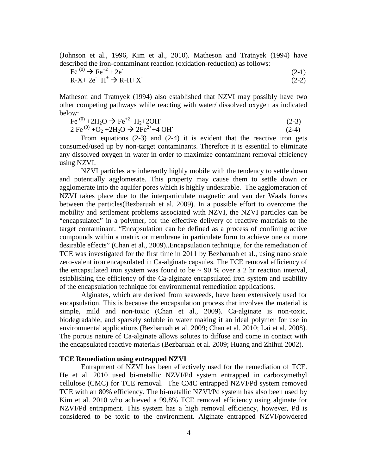(Johnson et al., 1996, Kim et al., 2010). Matheson and Tratnyek (1994) have described the iron-contaminant reaction (oxidation-reduction) as follows:

$$
\text{Fe}^{(0)} \to \text{Fe}^{+2} + 2\text{e}^{\cdot} \n\text{R-X} + 2\text{e}^{\cdot} + \text{H}^+ \to \text{R-H} + \text{X}^{\cdot} \n(2-1) \n(2-2)
$$

Matheson and Tratnyek (1994) also established that NZVI may possibly have two other competing pathways while reacting with water/ dissolved oxygen as indicated below:

$$
\text{Fe}^{(0)} + 2\text{H}_2\text{O} \to \text{Fe}^{+2} + \text{H}_2 + 2\text{OH}^{\bullet} \tag{2-3}
$$

2 Fe<sup>(0)</sup> +O<sub>2</sub> +2H<sub>2</sub>O  $\rightarrow$  2Fe<sup>2+</sup>+4 OH  $(2-4)$ 

From equations (2-3) and (2-4) it is evident that the reactive iron gets consumed/used up by non-target contaminants. Therefore it is essential to eliminate any dissolved oxygen in water in order to maximize contaminant removal efficiency using NZVI.

NZVI particles are inherently highly mobile with the tendency to settle down and potentially agglomerate. This property may cause them to settle down or agglomerate into the aquifer pores which is highly undesirable. The agglomeration of NZVI takes place due to the interparticulate magnetic and van der Waals forces between the particles(Bezbaruah et al. 2009). In a possible effort to overcome the mobility and settlement problems associated with NZVI, the NZVI particles can be "encapsulated" in a polymer, for the effective delivery of reactive materials to the target contaminant. "Encapsulation can be defined as a process of confining active compounds within a matrix or membrane in particulate form to achieve one or more desirable effects" (Chan et al., 2009)..Encapsulation technique, for the remediation of TCE was investigated for the first time in 2011 by Bezbaruah et al., using nano scale zero-valent iron encapsulated in Ca-alginate capsules. The TCE removal efficiency of the encapsulated iron system was found to be  $\sim$  90 % over a 2 hr reaction interval, establishing the efficiency of the Ca-alginate encapsulated iron system and usability of the encapsulation technique for environmental remediation applications.

Alginates, which are derived from seaweeds, have been extensively used for encapsulation. This is because the encapsulation process that involves the material is simple, mild and non-toxic (Chan et al., 2009). Ca-alginate is non-toxic, biodegradable, and sparsely soluble in water making it an ideal polymer for use in environmental applications (Bezbaruah et al. 2009; Chan et al. 2010; Lai et al. 2008). The porous nature of Ca-alginate allows solutes to diffuse and come in contact with the encapsulated reactive materials (Bezbaruah et al. 2009; Huang and Zhihui 2002).

## <span id="page-8-0"></span>**TCE Remediation using entrapped NZVI**

Entrapment of NZVI has been effectively used for the remediation of TCE. He et al. 2010 used bi-metallic NZVI/Pd system entrapped in carboxymethyl cellulose (CMC) for TCE removal. The CMC entrapped NZVI/Pd system removed TCE with an 80% efficiency. The bi-metallic NZVI/Pd system has also been used by Kim et al. 2010 who achieved a 99.8% TCE removal efficiency using alginate for NZVI/Pd entrapment. This system has a high removal efficiency, however, Pd is considered to be toxic to the environment. Alginate entrapped NZVI/powdered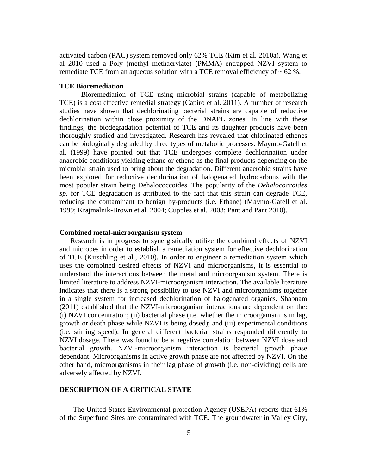activated carbon (PAC) system removed only 62% TCE (Kim et al. 2010a). Wang et al 2010 used a Poly (methyl methacrylate) (PMMA) entrapped NZVI system to remediate TCE from an aqueous solution with a TCE removal efficiency of  $\sim 62$  %.

## <span id="page-9-0"></span>**TCE Bioremediation**

Bioremediation of TCE using microbial strains (capable of metabolizing TCE) is a cost effective remedial strategy (Capiro et al. 2011). A number of research studies have shown that dechlorinating bacterial strains are capable of reductive dechlorination within close proximity of the DNAPL zones. In line with these findings, the biodegradation potential of TCE and its daughter products have been thoroughly studied and investigated. Research has revealed that chlorinated ethenes can be biologically degraded by three types of metabolic processes. Maymo-Gatell et al. (1999) have pointed out that TCE undergoes complete dechlorination under anaerobic conditions yielding ethane or ethene as the final products depending on the microbial strain used to bring about the degradation. Different anaerobic strains have been explored for reductive dechlorination of halogenated hydrocarbons with the most popular strain being Dehalococcoides. The popularity of the *Dehalococcoides sp.* for TCE degradation is attributed to the fact that this strain can degrade TCE, reducing the contaminant to benign by-products (i.e. Ethane) (Maymo-Gatell et al. 1999; Krajmalnik-Brown et al. 2004; Cupples et al. 2003; Pant and Pant 2010).

#### <span id="page-9-1"></span>**Combined metal-microorganism system**

Research is in progress to synergistically utilize the combined effects of NZVI and microbes in order to establish a remediation system for effective dechlorination of TCE (Kirschling et al., 2010). In order to engineer a remediation system which uses the combined desired effects of NZVI and microorganisms, it is essential to understand the interactions between the metal and microorganism system. There is limited literature to address NZVI-microorganism interaction. The available literature indicates that there is a strong possibility to use NZVI and microorganisms together in a single system for increased dechlorination of halogenated organics. Shabnam (2011) established that the NZVI-microorganism interactions are dependent on the: (i) NZVI concentration; (ii) bacterial phase (i.e. whether the microorganism is in lag, growth or death phase while NZVI is being dosed); and (iii) experimental conditions (i.e. stirring speed). In general different bacterial strains responded differently to NZVI dosage. There was found to be a negative correlation between NZVI dose and bacterial growth. NZVI-microorganism interaction is bacterial growth phase dependant. Microorganisms in active growth phase are not affected by NZVI. On the other hand, microorganisms in their lag phase of growth (i.e. non-dividing) cells are adversely affected by NZVI.

# <span id="page-9-2"></span>**DESCRIPTION OF A CRITICAL STATE**

The United States Environmental protection Agency (USEPA) reports that 61% of the Superfund Sites are contaminated with TCE. The groundwater in Valley City,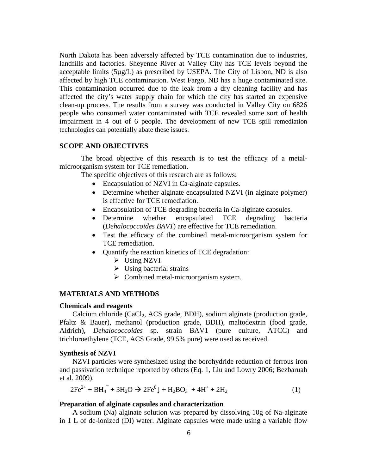North Dakota has been adversely affected by TCE contamination due to industries, landfills and factories. Sheyenne River at Valley City has TCE levels beyond the acceptable limits (5µg/L) as prescribed by USEPA. The City of Lisbon, ND is also affected by high TCE contamination. West Fargo, ND has a huge contaminated site. This contamination occurred due to the leak from a dry cleaning facility and has affected the city's water supply chain for which the city has started an expensive clean-up process. The results from a survey was conducted in Valley City on 6826 people who consumed water contaminated with TCE revealed some sort of health impairment in 4 out of 6 people. The development of new TCE spill remediation technologies can potentially abate these issues.

# <span id="page-10-0"></span>**SCOPE AND OBJECTIVES**

The broad objective of this research is to test the efficacy of a metalmicroorganism system for TCE remediation.

The specific objectives of this research are as follows:

- Encapsulation of NZVI in Ca-alginate capsules.
- Determine whether alginate encapsulated NZVI (in alginate polymer) is effective for TCE remediation.
- Encapsulation of TCE degrading bacteria in Ca-alginate capsules.
- Determine whether encapsulated TCE degrading bacteria (*Dehalococcoides BAV1*) are effective for TCE remediation.
- Test the efficacy of the combined metal-microorganism system for TCE remediation.
- Quantify the reaction kinetics of TCE degradation:
	- $\triangleright$  Using NZVI
	- $\triangleright$  Using bacterial strains
	- $\triangleright$  Combined metal-microorganism system.

## <span id="page-10-1"></span>**MATERIALS AND METHODS**

#### <span id="page-10-2"></span>**Chemicals and reagents**

Calcium chloride (CaCl<sub>2</sub>, ACS grade, BDH), sodium alginate (production grade, Pfaltz & Bauer), methanol (production grade, BDH), maltodextrin (food grade, Aldrich), *Dehalococcoides* sp. strain BAV1 (pure culture, ATCC) and trichloroethylene (TCE, ACS Grade, 99.5% pure) were used as received.

# <span id="page-10-3"></span>**Synthesis of NZVI**

NZVI particles were synthesized using the borohydride reduction of ferrous iron and passivation technique reported by others (Eq. 1, Liu and Lowry 2006; Bezbaruah et al. 2009).

$$
2Fe^{2+} + BH_4 + 3H_2O \rightarrow 2Fe^0 + H_2BO_3 + 4H^+ + 2H_2
$$
 (1)

#### <span id="page-10-4"></span>**Preparation of alginate capsules and characterization**

A sodium (Na) alginate solution was prepared by dissolving 10g of Na-alginate in 1 L of de-ionized (DI) water. Alginate capsules were made using a variable flow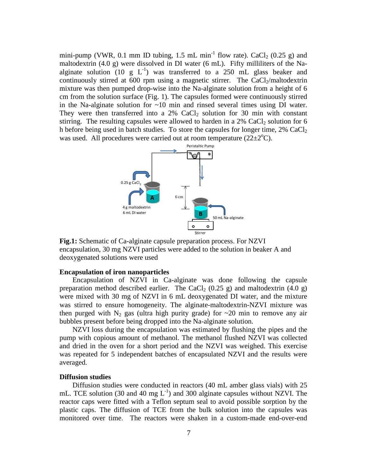mini-pump (VWR, 0.1 mm ID tubing, 1.5 mL min<sup>-1</sup> flow rate). CaCl<sub>2</sub> (0.25 g) and maltodextrin (4.0 g) were dissolved in DI water (6 mL). Fifty milliliters of the Naalginate solution (10 g  $L^{-1}$ ) was transferred to a 250 mL glass beaker and continuously stirred at 600 rpm using a magnetic stirrer. The CaCl $_2$ /maltodextrin mixture was then pumped drop-wise into the Na-alginate solution from a height of 6 cm from the solution surface (Fig. 1). The capsules formed were continuously stirred in the Na-alginate solution for  $\sim 10$  min and rinsed several times using DI water. They were then transferred into a  $2\%$  CaCl<sub>2</sub> solution for 30 min with constant stirring. The resulting capsules were allowed to harden in a  $2\%$  CaCl<sub>2</sub> solution for 6 h before being used in batch studies. To store the capsules for longer time,  $2\%$  CaCl<sub>2</sub> was used. All procedures were carried out at room temperature  $(22 \pm 2^{\circ}C)$ .



<span id="page-11-2"></span>**Fig.1:** Schematic of Ca-alginate capsule preparation process. For NZVI encapsulation, 30 mg NZVI particles were added to the solution in beaker A and deoxygenated solutions were used

#### <span id="page-11-0"></span>**Encapsulation of iron nanoparticles**

Encapsulation of NZVI in Ca-alginate was done following the capsule preparation method described earlier. The CaCl<sub>2</sub> (0.25 g) and maltodextrin (4.0 g) were mixed with 30 mg of NZVI in 6 mL deoxygenated DI water, and the mixture was stirred to ensure homogeneity. The alginate-maltodextrin-NZVI mixture was then purged with  $N_2$  gas (ultra high purity grade) for  $\sim$ 20 min to remove any air bubbles present before being dropped into the Na-alginate solution.

NZVI loss during the encapsulation was estimated by flushing the pipes and the pump with copious amount of methanol. The methanol flushed NZVI was collected and dried in the oven for a short period and the NZVI was weighed. This exercise was repeated for 5 independent batches of encapsulated NZVI and the results were averaged.

#### <span id="page-11-1"></span>**Diffusion studies**

Diffusion studies were conducted in reactors (40 mL amber glass vials) with 25 mL. TCE solution (30 and 40 mg  $L^{-1}$ ) and 300 alginate capsules without NZVI. The reactor caps were fitted with a Teflon septum seal to avoid possible sorption by the plastic caps. The diffusion of TCE from the bulk solution into the capsules was monitored over time. The reactors were shaken in a custom-made end-over-end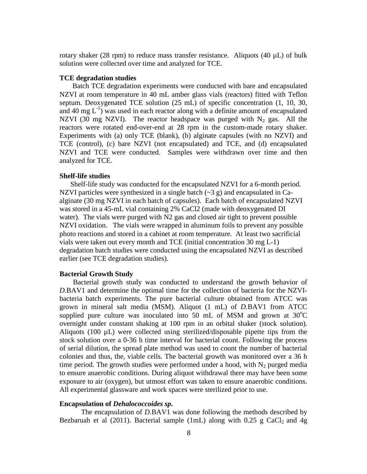rotary shaker (28 rpm) to reduce mass transfer resistance. Aliquots (40  $\mu$ L) of bulk solution were collected over time and analyzed for TCE.

#### <span id="page-12-0"></span>**TCE degradation studies**

Batch TCE degradation experiments were conducted with bare and encapsulated NZVI at room temperature in 40 mL amber glass vials (reactors) fitted with Teflon septum. Deoxygenated TCE solution (25 mL) of specific concentration (1, 10, 30, and 40 mg  $L^{-1}$ ) was used in each reactor along with a definite amount of encapsulated NZVI (30 mg NZVI). The reactor headspace was purged with  $N_2$  gas. All the reactors were rotated end-over-end at 28 rpm in the custom-made rotary shaker. Experiments with (a) only TCE (blank), (b) alginate capsules (with no NZVI) and TCE (control), (c) bare NZVI (not encapsulated) and TCE, and (d) encapsulated NZVI and TCE were conducted. Samples were withdrawn over time and then analyzed for TCE.

# <span id="page-12-1"></span>**Shelf-life studies**

Shelf-life study was conducted for the encapsulated NZVI for a 6-month period. NZVI particles were synthesized in a single batch  $(\sim 3 \text{ g})$  and encapsulated in Caalginate (30 mg NZVI in each batch of capsules). Each batch of encapsulated NZVI was stored in a 45-mL vial containing 2% CaCl2 (made with deoxygenated DI water). The vials were purged with N2 gas and closed air tight to prevent possible NZVI oxidation. The vials were wrapped in aluminum foils to prevent any possible photo reactions and stored in a cabinet at room temperature. At least two sacrificial vials were taken out every month and TCE (initial concentration 30 mg L-1) degradation batch studies were conducted using the encapsulated NZVI as described earlier (see TCE degradation studies).

# <span id="page-12-2"></span>**Bacterial Growth Study**

Bacterial growth study was conducted to understand the growth behavior of *D.*BAV1 and determine the optimal time for the collection of bacteria for the NZVIbacteria batch experiments. The pure bacterial culture obtained from ATCC was grown in mineral salt media (MSM). Aliquot (1 mL) of *D.*BAV1 from ATCC supplied pure culture was inoculated into 50 mL of MSM and grown at  $30^{\circ}$ C overnight under constant shaking at 100 rpm in an orbital shaker (stock solution). Aliquots (100  $\mu$ L) were collected using sterilized/disposable pipette tips from the stock solution over a 0-36 h time interval for bacterial count. Following the process of serial dilution, the spread plate method was used to count the number of bacterial colonies and thus, the, viable cells. The bacterial growth was monitored over a 36 h time period. The growth studies were performed under a hood, with  $N_2$  purged media to ensure anaerobic conditions. During aliquot withdrawal there may have been some exposure to air (oxygen), but utmost effort was taken to ensure anaerobic conditions. All experimental glassware and work spaces were sterilized prior to use.

## <span id="page-12-3"></span>**Encapsulation of** *Dehalococcoides sp***.**

The encapsulation of *D*.BAV1 was done following the methods described by Bezbaruah et al (2011). Bacterial sample (1mL) along with  $0.25$  g CaCl<sub>2</sub> and 4g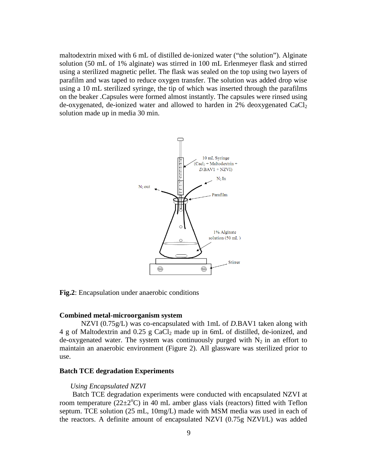maltodextrin mixed with 6 mL of distilled de-ionized water ("the solution"). Alginate solution (50 mL of 1% alginate) was stirred in 100 mL Erlenmeyer flask and stirred using a sterilized magnetic pellet. The flask was sealed on the top using two layers of parafilm and was taped to reduce oxygen transfer. The solution was added drop wise using a 10 mL sterilized syringe, the tip of which was inserted through the parafilms on the beaker .Capsules were formed almost instantly. The capsules were rinsed using de-oxygenated, de-ionized water and allowed to harden in  $2\%$  deoxygenated CaCl<sub>2</sub> solution made up in media 30 min.



<span id="page-13-2"></span>**Fig.2**: Encapsulation under anaerobic conditions

#### <span id="page-13-0"></span>**Combined metal-microorganism system**

NZVI (0.75g/L) was co-encapsulated with 1mL of *D.*BAV1 taken along with 4 g of Maltodextrin and 0.25 g CaCl2 made up in 6mL of distilled, de-ionized, and de-oxygenated water. The system was continuously purged with  $N_2$  in an effort to maintain an anaerobic environment (Figure 2). All glassware was sterilized prior to use.

#### <span id="page-13-1"></span>**Batch TCE degradation Experiments**

#### *Using Encapsulated NZVI*

Batch TCE degradation experiments were conducted with encapsulated NZVI at room temperature  $(22\pm2^{\circ}C)$  in 40 mL amber glass vials (reactors) fitted with Teflon septum. TCE solution (25 mL, 10mg/L) made with MSM media was used in each of the reactors. A definite amount of encapsulated NZVI (0.75g NZVI/L) was added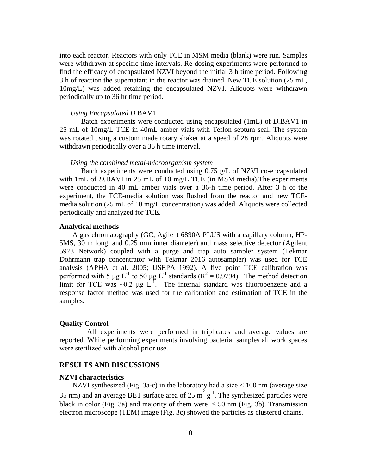into each reactor. Reactors with only TCE in MSM media (blank) were run. Samples were withdrawn at specific time intervals. Re-dosing experiments were performed to find the efficacy of encapsulated NZVI beyond the initial 3 h time period. Following 3 h of reaction the supernatant in the reactor was drained. New TCE solution (25 mL, 10mg/L) was added retaining the encapsulated NZVI. Aliquots were withdrawn periodically up to 36 hr time period.

#### *Using Encapsulated D.*BAV1

Batch experiments were conducted using encapsulated (1mL) of *D.*BAV1 in 25 mL of 10mg/L TCE in 40mL amber vials with Teflon septum seal. The system was rotated using a custom made rotary shaker at a speed of 28 rpm. Aliquots were withdrawn periodically over a 36 h time interval.

#### *Using the combined metal-microorganism system*

Batch experiments were conducted using 0.75 g/L of NZVI co-encapsulated with 1mL of *D.BAVI* in 25 mL of 10 mg/L TCE (in MSM media). The experiments were conducted in 40 mL amber vials over a 36-h time period. After 3 h of the experiment, the TCE-media solution was flushed from the reactor and new TCEmedia solution (25 mL of 10 mg/L concentration) was added. Aliquots were collected periodically and analyzed for TCE.

## <span id="page-14-0"></span>**Analytical methods**

A gas chromatography (GC, Agilent 6890A PLUS with a capillary column, HP-5MS, 30 m long, and 0.25 mm inner diameter) and mass selective detector (Agilent 5973 Network) coupled with a purge and trap auto sampler system (Tekmar Dohrmann trap concentrator with Tekmar 2016 autosampler) was used for TCE analysis (APHA et al. 2005; USEPA 1992). A five point TCE calibration was performed with 5 μg L<sup>-1</sup> to 50 μg L<sup>-1</sup> standards ( $\mathbb{R}^2 = 0.9794$ ). The method detection limit for TCE was  $\sim 0.2$  µg L<sup>-1</sup>. The internal standard was fluorobenzene and a response factor method was used for the calibration and estimation of TCE in the samples.

#### <span id="page-14-1"></span>**Quality Control**

All experiments were performed in triplicates and average values are reported. While performing experiments involving bacterial samples all work spaces were sterilized with alcohol prior use.

#### <span id="page-14-2"></span>**RESULTS AND DISCUSSIONS**

#### <span id="page-14-3"></span>**NZVI characteristics**

NZVI synthesized (Fig. 3a-c) in the laboratory had a size < 100 nm (average size 35 nm) and an average BET surface area of 25  $m^2 g^{-1}$ . The synthesized particles were black in color (Fig. 3a) and majority of them were  $\leq 50$  nm (Fig. 3b). Transmission electron microscope (TEM) image (Fig. 3c) showed the particles as clustered chains.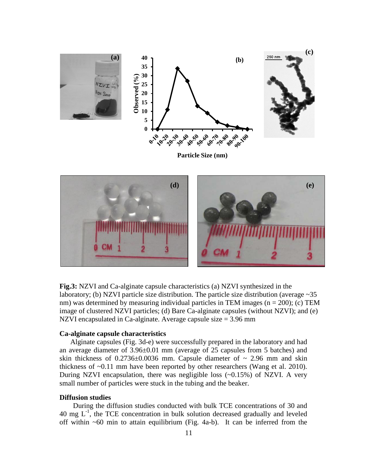

**Particle Size (nm)**



**Fig.3:** NZVI and Ca-alginate capsule characteristics (a) NZVI synthesized in the laboratory; (b) NZVI particle size distribution. The particle size distribution (average  $\sim$  35 nm) was determined by measuring individual particles in TEM images ( $n = 200$ ); (c) TEM image of clustered NZVI particles; (d) Bare Ca-alginate capsules (without NZVI); and (e) NZVI encapsulated in Ca-alginate. Average capsule size = 3.96 mm

# <span id="page-15-0"></span>**Ca-alginate capsule characteristics**

Alginate capsules (Fig. 3d-e) were successfully prepared in the laboratory and had an average diameter of 3.96±0.01 mm (average of 25 capsules from 5 batches) and skin thickness of  $0.2736\pm0.0036$  mm. Capsule diameter of  $\sim 2.96$  mm and skin thickness of ~0.11 mm have been reported by other researchers (Wang et al. 2010). During NZVI encapsulation, there was negligible loss (~0.15%) of NZVI. A very small number of particles were stuck in the tubing and the beaker.

## <span id="page-15-1"></span>**Diffusion studies**

During the diffusion studies conducted with bulk TCE concentrations of 30 and 40 mg  $L^{-1}$ , the TCE concentration in bulk solution decreased gradually and leveled off within ~60 min to attain equilibrium (Fig. 4a-b). It can be inferred from the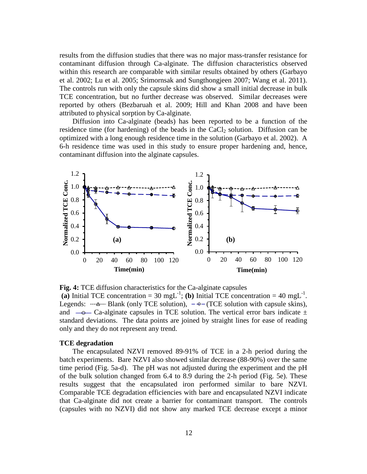results from the diffusion studies that there was no major mass-transfer resistance for contaminant diffusion through Ca-alginate. The diffusion characteristics observed within this research are comparable with similar results obtained by others (Garbayo et al. 2002; Lu et al. 2005; Srimornsak and Sungthongjeen 2007; Wang et al. 2011). The controls run with only the capsule skins did show a small initial decrease in bulk TCE concentration, but no further decrease was observed. Similar decreases were reported by others (Bezbaruah et al. 2009; Hill and Khan 2008 and have been attributed to physical sorption by Ca-alginate.

Diffusion into Ca-alginate (beads) has been reported to be a function of the residence time (for hardening) of the beads in the  $CaCl<sub>2</sub>$  solution. Diffusion can be optimized with a long enough residence time in the solution (Garbayo et al. 2002). A 6-h residence time was used in this study to ensure proper hardening and, hence, contaminant diffusion into the alginate capsules.



**Fig. 4:** TCE diffusion characteristics for the Ca-alginate capsules (a) Initial TCE concentration = 30 mgL<sup>-1</sup>; (b) Initial TCE concentration = 40 mgL<sup>-1</sup>. Legends:  $-\frac{4}{3}$  Blank (only TCE solution),  $-\frac{6}{3}$  (TCE solution with capsule skins), and  $-\text{e}-$  Ca-alginate capsules in TCE solution. The vertical error bars indicate  $\pm$ standard deviations. The data points are joined by straight lines for ease of reading only and they do not represent any trend.

#### <span id="page-16-0"></span>**TCE degradation**

The encapsulated NZVI removed 89-91% of TCE in a 2-h period during the batch experiments. Bare NZVI also showed similar decrease (88-90%) over the same time period (Fig. 5a-d). The pH was not adjusted during the experiment and the pH of the bulk solution changed from 6.4 to 8.9 during the 2-h period (Fig. 5e). These results suggest that the encapsulated iron performed similar to bare NZVI. Comparable TCE degradation efficiencies with bare and encapsulated NZVI indicate that Ca-alginate did not create a barrier for contaminant transport. The controls (capsules with no NZVI) did not show any marked TCE decrease except a minor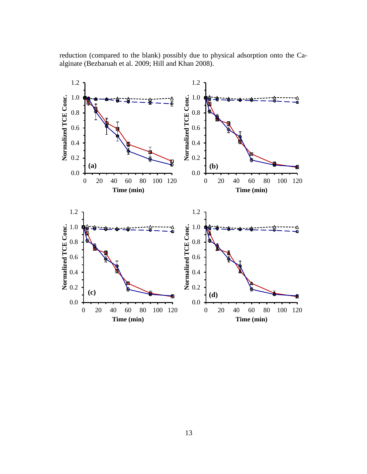reduction (compared to the blank) possibly due to physical adsorption onto the Caalginate (Bezbaruah et al. 2009; Hill and Khan 2008).

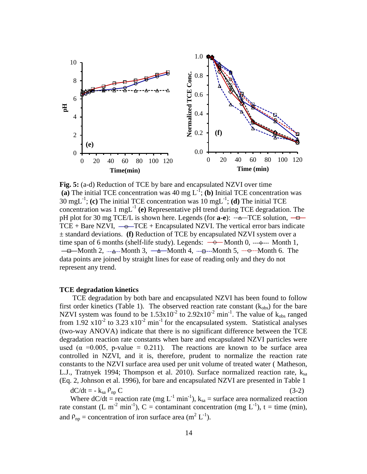

**Fig. 5:** (a-d) Reduction of TCE by bare and encapsulated NZVI over time (a) The initial TCE concentration was 40 mg  $L^{-1}$ ; (b) Initial TCE concentration was 30 mgL-1 ; **(c)** The initial TCE concentration was 10 mgL-1 ; **(d)** The initial TCE concentration was  $1 \text{ mgL}^{-1}$  (e) Representative pH trend during TCE degradation. The pH plot for 30 mg TCE/L is shown here. Legends (for **a-e**):  $-\triangle$ -TCE solution,  $-\triangle$ TCE + Bare NZVI,  $\rightarrow$  TCE + Encapsulated NZVI. The vertical error bars indicate ± standard deviations. **(f)** Reduction of TCE by encapsulated NZVI system over a time span of 6 months (shelf-life study). Legends: Month 0, Month 1,  $-\theta$ —Month 2,  $-\theta$ —Month 3,  $-\theta$ —Month 4,  $-\theta$ —Month 5,  $-\theta$ —Month 6. The data points are joined by straight lines for ease of reading only and they do not represent any trend.

# <span id="page-18-0"></span>**TCE degradation kinetics**

TCE degradation by both bare and encapsulated NZVI has been found to follow first order kinetics (Table 1). The observed reaction rate constant  $(k_{obs})$  for the bare NZVI system was found to be  $1.53 \times 10^{-2}$  to  $2.92 \times 10^{-2}$  min<sup>-1</sup>. The value of  $k_{obs}$  ranged from 1.92  $x10^{-2}$  to 3.23  $x10^{-2}$  min<sup>-1</sup> for the encapsulated system. Statistical analyses (two-way ANOVA) indicate that there is no significant difference between the TCE degradation reaction rate constants when bare and encapsulated NZVI particles were used ( $\alpha$  =0.005, p-value = 0.211). The reactions are known to be surface area controlled in NZVI, and it is, therefore, prudent to normalize the reaction rate constants to the NZVI surface area used per unit volume of treated water ( Matheson, L.J., Tratnyek 1994; Thompson et al. 2010). Surface normalized reaction rate,  $k_{sa}$ (Eq. 2, Johnson et al. 1996), for bare and encapsulated NZVI are presented in Table 1

 $dC/dt = -k_{sa} \rho_{np} C$  (3-2)

Where  $dC/dt =$  reaction rate (mg L<sup>-1</sup> min<sup>-1</sup>),  $k_{sa}$  = surface area normalized reaction rate constant (L m<sup>-2</sup> min<sup>-1</sup>), C = contaminant concentration (mg L<sup>-1</sup>), t = time (min), and  $P_{\text{np}} =$  concentration of iron surface area (m<sup>2</sup> L<sup>-1</sup>).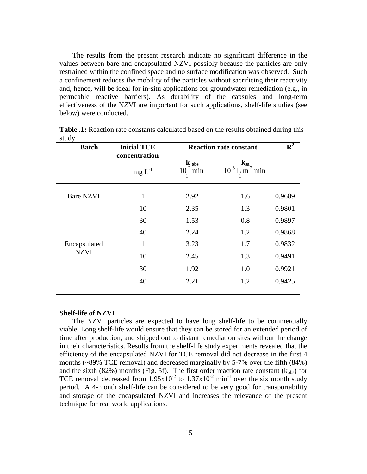The results from the present research indicate no significant difference in the values between bare and encapsulated NZVI possibly because the particles are only restrained within the confined space and no surface modification was observed. Such a confinement reduces the mobility of the particles without sacrificing their reactivity and, hence, will be ideal for in-situ applications for groundwater remediation (e.g., in permeable reactive barriers). As durability of the capsules and long-term effectiveness of the NZVI are important for such applications, shelf-life studies (see below) were conducted.

| <b>Batch</b>                | <b>Initial TCE</b>        | <b>Reaction rate constant</b>           | $R^2$                                                                      |        |
|-----------------------------|---------------------------|-----------------------------------------|----------------------------------------------------------------------------|--------|
|                             | concentration<br>$mg L-1$ | $k_{obs}$<br>$10^{-2}$ min <sup>-</sup> | $\mathbf{k}_{\mathrm{sa}}$<br>$10^{-3}$ L m <sup>-2</sup> min <sup>-</sup> |        |
| <b>Bare NZVI</b>            | $\mathbf{1}$              | 2.92                                    | 1.6                                                                        | 0.9689 |
| Encapsulated<br><b>NZVI</b> | 10                        | 2.35                                    | 1.3                                                                        | 0.9801 |
|                             | 30                        | 1.53                                    | 0.8                                                                        | 0.9897 |
|                             | 40                        | 2.24                                    | 1.2                                                                        | 0.9868 |
|                             | $\mathbf{1}$              | 3.23                                    | 1.7                                                                        | 0.9832 |
|                             | 10                        | 2.45                                    | 1.3                                                                        | 0.9491 |
|                             | 30                        | 1.92                                    | 1.0                                                                        | 0.9921 |
|                             | 40                        | 2.21                                    | 1.2                                                                        | 0.9425 |

**Table .1:** Reaction rate constants calculated based on the results obtained during this study

#### <span id="page-19-0"></span>**Shelf-life of NZVI**

The NZVI particles are expected to have long shelf-life to be commercially viable. Long shelf-life would ensure that they can be stored for an extended period of time after production, and shipped out to distant remediation sites without the change in their characteristics. Results from the shelf-life study experiments revealed that the efficiency of the encapsulated NZVI for TCE removal did not decrease in the first 4 months (~89% TCE removal) and decreased marginally by 5-7% over the fifth (84%) and the sixth (82%) months (Fig. 5f). The first order reaction rate constant ( $k_{obs}$ ) for TCE removal decreased from  $1.95x10^{-2}$  to  $1.37x10^{-2}$  min<sup>-1</sup> over the six month study period. A 4-month shelf-life can be considered to be very good for transportability and storage of the encapsulated NZVI and increases the relevance of the present technique for real world applications.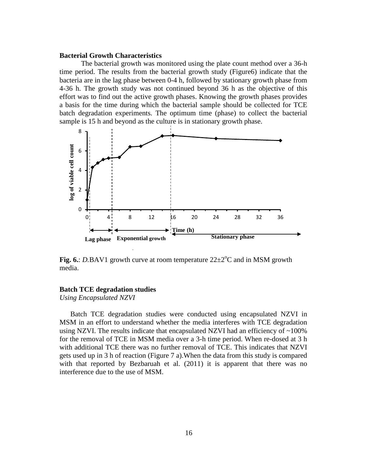#### <span id="page-20-0"></span>**Bacterial Growth Characteristics**

The bacterial growth was monitored using the plate count method over a 36-h time period. The results from the bacterial growth study (Figure6) indicate that the bacteria are in the lag phase between 0-4 h, followed by stationary growth phase from 4-36 h. The growth study was not continued beyond 36 h as the objective of this effort was to find out the active growth phases. Knowing the growth phases provides a basis for the time during which the bacterial sample should be collected for TCE batch degradation experiments. The optimum time (phase) to collect the bacterial sample is 15 h and beyond as the culture is in stationary growth phase.



Fig. 6.: *D.BAV1* growth curve at room temperature  $22 \pm 2$ <sup>o</sup>C and in MSM growth media.

# <span id="page-20-1"></span>**Batch TCE degradation studies**

*Using Encapsulated NZVI*

Batch TCE degradation studies were conducted using encapsulated NZVI in MSM in an effort to understand whether the media interferes with TCE degradation using NZVI. The results indicate that encapsulated NZVI had an efficiency of  $\sim$ 100% for the removal of TCE in MSM media over a 3-h time period. When re-dosed at 3 h with additional TCE there was no further removal of TCE. This indicates that NZVI gets used up in 3 h of reaction (Figure 7 a).When the data from this study is compared with that reported by Bezbaruah et al. (2011) it is apparent that there was no interference due to the use of MSM.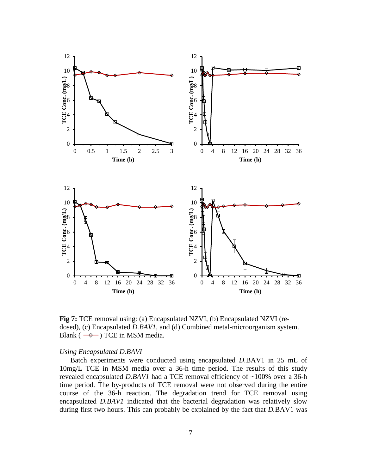

**Fig 7:** TCE removal using: (a) Encapsulated NZVI, (b) Encapsulated NZVI (redosed), (c) Encapsulated *D.BAV1*, and (d) Combined metal-microorganism system. Blank ( $\rightarrow$ ) TCE in MSM media.

## *Using Encapsulated D.BAVI*

Batch experiments were conducted using encapsulated *D.*BAV1 in 25 mL of 10mg/L TCE in MSM media over a 36-h time period. The results of this study revealed encapsulated *D.BAV1* had a TCE removal efficiency of ~100% over a 36-h time period. The by-products of TCE removal were not observed during the entire course of the 36-h reaction. The degradation trend for TCE removal using encapsulated *D.BAV1* indicated that the bacterial degradation was relatively slow during first two hours. This can probably be explained by the fact that *D.*BAV1 was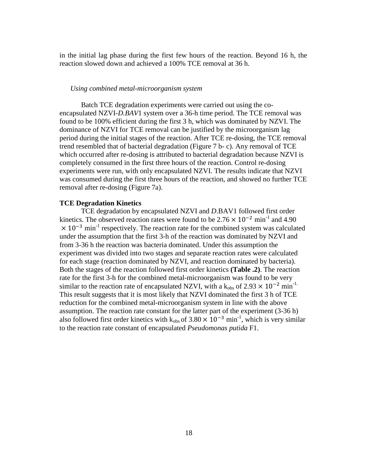in the initial lag phase during the first few hours of the reaction. Beyond 16 h, the reaction slowed down and achieved a 100% TCE removal at 36 h.

#### *Using combined metal-microorganism system*

Batch TCE degradation experiments were carried out using the coencapsulated NZVI-*D.BAV*1 system over a 36-h time period. The TCE removal was found to be 100% efficient during the first 3 h, which was dominated by NZVI. The dominance of NZVI for TCE removal can be justified by the microorganism lag period during the initial stages of the reaction. After TCE re-dosing, the TCE removal trend resembled that of bacterial degradation (Figure 7 b- c). Any removal of TCE which occurred after re-dosing is attributed to bacterial degradation because NZVI is completely consumed in the first three hours of the reaction. Control re-dosing experiments were run, with only encapsulated NZVI. The results indicate that NZVI was consumed during the first three hours of the reaction, and showed no further TCE removal after re-dosing (Figure 7a).

#### <span id="page-22-0"></span>**TCE Degradation Kinetics**

TCE degradation by encapsulated NZVI and *D*.BAV1 followed first order kinetics. The observed reaction rates were found to be  $2.76 \times 10^{-2}$  min<sup>-1</sup> and 4.90  $\times$  10<sup>-3</sup> min<sup>-1</sup> respectively. The reaction rate for the combined system was calculated under the assumption that the first 3-h of the reaction was dominated by NZVI and from 3-36 h the reaction was bacteria dominated. Under this assumption the experiment was divided into two stages and separate reaction rates were calculated for each stage (reaction dominated by NZVI, and reaction dominated by bacteria). Both the stages of the reaction followed first order kinetics **(Table .2)**. The reaction rate for the first 3-h for the combined metal-microorganism was found to be very similar to the reaction rate of encapsulated NZVI, with a  $k_{obs}$  of 2.93  $\times$  10<sup>-2</sup> min<sup>-1.</sup> This result suggests that it is most likely that NZVI dominated the first 3 h of TCE reduction for the combined metal-microorganism system in line with the above assumption. The reaction rate constant for the latter part of the experiment (3-36 h) also followed first order kinetics with  $k_{obs}$  of 3.80  $\times$  10<sup>-3</sup> min<sup>-1</sup>, which is very similar to the reaction rate constant of encapsulated *Pseudomonas putida* F1.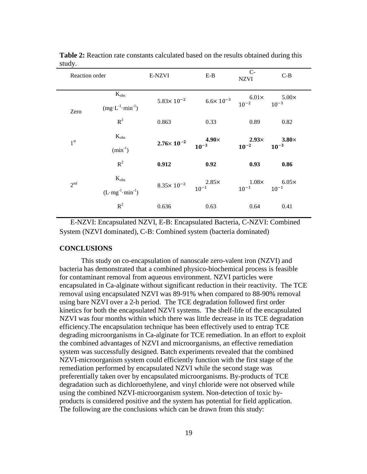| Reaction order  |                                                 | E-NZVI                                      | $E-B$ | $C-$<br><b>NZVI</b>                                              | $C-B$                     |  |
|-----------------|-------------------------------------------------|---------------------------------------------|-------|------------------------------------------------------------------|---------------------------|--|
| Zero            | $K_{obs}$<br>$(mg \cdot L^{-1} \cdot min^{-1})$ | $5.83 \times 10^{-2}$                       |       | $6.6 \times 10^{-3}$ $6.01 \times 5.00 \times 10^{-3}$ $10^{-3}$ |                           |  |
|                 | $R^2$                                           | 0.863                                       | 0.33  | 0.89                                                             | 0.82                      |  |
| 1 <sup>st</sup> | $K_{obs}$<br>$(min^{-1})$                       | $2.76 \times 10^{-2}$ $4.90 \times 10^{-3}$ |       | $2.93\times$<br>$10^{-2}$                                        | $3.80\times$<br>$10^{-3}$ |  |
|                 | $R^2$                                           | 0.912                                       | 0.92  | 0.93                                                             | 0.86                      |  |
| 2 <sup>nd</sup> | $K_{obs}$<br>$(L·mg-1·min-1)$                   | $8.35 \times 10^{-2}$ $2.85 \times 10^{-1}$ |       | $1.08\times$<br>$10^{-1}$                                        | $6.05\times$<br>$10^{-1}$ |  |
|                 | $R^2$                                           | 0.636                                       | 0.63  | 0.64                                                             | 0.41                      |  |

**Table 2:** Reaction rate constants calculated based on the results obtained during this study.

E-NZVI: Encapsulated NZVI, E-B: Encapsulated Bacteria, C-NZVI: Combined System (NZVI dominated), C-B: Combined system (bacteria dominated)

#### <span id="page-23-0"></span>**CONCLUSIONS**

This study on co-encapsulation of nanoscale zero-valent iron (NZVI) and bacteria has demonstrated that a combined physico-biochemical process is feasible for contaminant removal from aqueous environment. NZVI particles were encapsulated in Ca-alginate without significant reduction in their reactivity. The TCE removal using encapsulated NZVI was 89-91% when compared to 88-90% removal using bare NZVI over a 2-h period. The TCE degradation followed first order kinetics for both the encapsulated NZVI systems. The shelf-life of the encapsulated NZVI was four months within which there was little decrease in its TCE degradation efficiency.The encapsulation technique has been effectively used to entrap TCE degrading microorganisms in Ca-alginate for TCE remediation. In an effort to exploit the combined advantages of NZVI and microorganisms, an effective remediation system was successfully designed. Batch experiments revealed that the combined NZVI-microorganism system could efficiently function with the first stage of the remediation performed by encapsulated NZVI while the second stage was preferentially taken over by encapsulated microorganisms. By-products of TCE degradation such as dichloroethylene, and vinyl chloride were not observed while using the combined NZVI-microorganism system. Non-detection of toxic byproducts is considered positive and the system has potential for field application. The following are the conclusions which can be drawn from this study: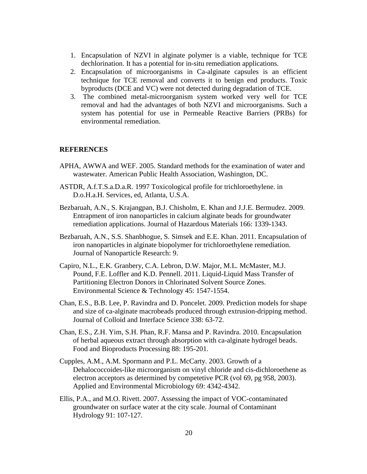- 1. Encapsulation of NZVI in alginate polymer is a viable, technique for TCE dechlorination. It has a potential for in-situ remediation applications.
- 2. Encapsulation of microorganisms in Ca-alginate capsules is an efficient technique for TCE removal and converts it to benign end products. Toxic byproducts (DCE and VC) were not detected during degradation of TCE.
- 3. The combined metal-microorganism system worked very well for TCE removal and had the advantages of both NZVI and microorganisms. Such a system has potential for use in Permeable Reactive Barriers (PRBs) for environmental remediation.

# <span id="page-24-0"></span>**REFERENCES**

- APHA, AWWA and WEF. 2005. Standard methods for the examination of water and wastewater. American Public Health Association, Washington, DC.
- ASTDR, A.f.T.S.a.D.a.R. 1997 Toxicological profile for trichloroethylene. in D.o.H.a.H. Services, ed, Atlanta, U.S.A.
- Bezbaruah, A.N., S. Krajangpan, B.J. Chisholm, E. Khan and J.J.E. Bermudez. 2009. Entrapment of iron nanoparticles in calcium alginate beads for groundwater remediation applications. Journal of Hazardous Materials 166: 1339-1343.
- Bezbaruah, A.N., S.S. Shanbhogue, S. Simsek and E.E. Khan. 2011. Encapsulation of iron nanoparticles in alginate biopolymer for trichloroethylene remediation. Journal of Nanoparticle Research: 9.
- Capiro, N.L., E.K. Granbery, C.A. Lebron, D.W. Major, M.L. McMaster, M.J. Pound, F.E. Loffler and K.D. Pennell. 2011. Liquid-Liquid Mass Transfer of Partitioning Electron Donors in Chlorinated Solvent Source Zones. Environmental Science & Technology 45: 1547-1554.
- Chan, E.S., B.B. Lee, P. Ravindra and D. Poncelet. 2009. Prediction models for shape and size of ca-alginate macrobeads produced through extrusion-dripping method. Journal of Colloid and Interface Science 338: 63-72.
- Chan, E.S., Z.H. Yim, S.H. Phan, R.F. Mansa and P. Ravindra. 2010. Encapsulation of herbal aqueous extract through absorption with ca-alginate hydrogel beads. Food and Bioproducts Processing 88: 195-201.
- Cupples, A.M., A.M. Spormann and P.L. McCarty. 2003. Growth of a Dehalococcoides-like microorganism on vinyl chloride and cis-dichloroethene as electron acceptors as determined by competetive PCR (vol 69, pg 958, 2003). Applied and Environmental Microbiology 69: 4342-4342.
- Ellis, P.A., and M.O. Rivett. 2007. Assessing the impact of VOC-contaminated groundwater on surface water at the city scale. Journal of Contaminant Hydrology 91: 107-127.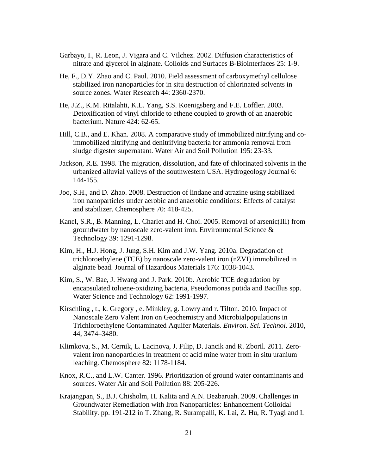- Garbayo, I., R. Leon, J. Vigara and C. Vilchez. 2002. Diffusion characteristics of nitrate and glycerol in alginate. Colloids and Surfaces B-Biointerfaces 25: 1-9.
- He, F., D.Y. Zhao and C. Paul. 2010. Field assessment of carboxymethyl cellulose stabilized iron nanoparticles for in situ destruction of chlorinated solvents in source zones. Water Research 44: 2360-2370.
- He, J.Z., K.M. Ritalahti, K.L. Yang, S.S. Koenigsberg and F.E. Loffler. 2003. Detoxification of vinyl chloride to ethene coupled to growth of an anaerobic bacterium. Nature 424: 62-65.
- Hill, C.B., and E. Khan. 2008. A comparative study of immobilized nitrifying and coimmobilized nitrifying and denitrifying bacteria for ammonia removal from sludge digester supernatant. Water Air and Soil Pollution 195: 23-33.
- Jackson, R.E. 1998. The migration, dissolution, and fate of chlorinated solvents in the urbanized alluvial valleys of the southwestern USA. Hydrogeology Journal 6: 144-155.
- Joo, S.H., and D. Zhao. 2008. Destruction of lindane and atrazine using stabilized iron nanoparticles under aerobic and anaerobic conditions: Effects of catalyst and stabilizer. Chemosphere 70: 418-425.
- Kanel, S.R., B. Manning, L. Charlet and H. Choi. 2005. Removal of arsenic(III) from groundwater by nanoscale zero-valent iron. Environmental Science & Technology 39: 1291-1298.
- Kim, H., H.J. Hong, J. Jung, S.H. Kim and J.W. Yang. 2010a. Degradation of trichloroethylene (TCE) by nanoscale zero-valent iron (nZVI) immobilized in alginate bead. Journal of Hazardous Materials 176: 1038-1043.
- Kim, S., W. Bae, J. Hwang and J. Park. 2010b. Aerobic TCE degradation by encapsulated toluene-oxidizing bacteria, Pseudomonas putida and Bacillus spp. Water Science and Technology 62: 1991-1997.
- Kirschling , t., k. Gregory , e. Minkley, g. Lowry and r. Tilton. 2010. Impact of Nanoscale Zero Valent Iron on Geochemistry and Microbialpopulations in Trichloroethylene Contaminated Aquifer Materials. *Environ. Sci. Technol.* 2010, 44, 3474–3480.
- Klimkova, S., M. Cernik, L. Lacinova, J. Filip, D. Jancik and R. Zboril. 2011. Zerovalent iron nanoparticles in treatment of acid mine water from in situ uranium leaching. Chemosphere 82: 1178-1184.
- Knox, R.C., and L.W. Canter. 1996. Prioritization of ground water contaminants and sources. Water Air and Soil Pollution 88: 205-226.
- Krajangpan, S., B.J. Chisholm, H. Kalita and A.N. Bezbaruah. 2009. Challenges in Groundwater Remediation with Iron Nanoparticles: Enhancement Colloidal Stability. pp. 191-212 in T. Zhang, R. Surampalli, K. Lai, Z. Hu, R. Tyagi and I.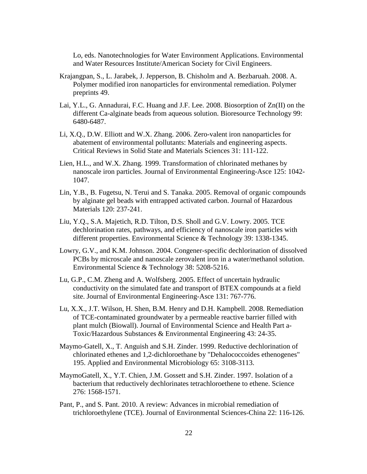Lo, eds. Nanotechnologies for Water Environment Applications. Environmental and Water Resources Institute/American Society for Civil Engineers.

- Krajangpan, S., L. Jarabek, J. Jepperson, B. Chisholm and A. Bezbaruah. 2008. A. Polymer modified iron nanoparticles for environmental remediation. Polymer preprints 49.
- Lai, Y.L., G. Annadurai, F.C. Huang and J.F. Lee. 2008. Biosorption of Zn(II) on the different Ca-alginate beads from aqueous solution. Bioresource Technology 99: 6480-6487.
- Li, X.Q., D.W. Elliott and W.X. Zhang. 2006. Zero-valent iron nanoparticles for abatement of environmental pollutants: Materials and engineering aspects. Critical Reviews in Solid State and Materials Sciences 31: 111-122.
- Lien, H.L., and W.X. Zhang. 1999. Transformation of chlorinated methanes by nanoscale iron particles. Journal of Environmental Engineering-Asce 125: 1042- 1047.
- Lin, Y.B., B. Fugetsu, N. Terui and S. Tanaka. 2005. Removal of organic compounds by alginate gel beads with entrapped activated carbon. Journal of Hazardous Materials 120: 237-241.
- Liu, Y.Q., S.A. Majetich, R.D. Tilton, D.S. Sholl and G.V. Lowry. 2005. TCE dechlorination rates, pathways, and efficiency of nanoscale iron particles with different properties. Environmental Science & Technology 39: 1338-1345.
- Lowry, G.V., and K.M. Johnson. 2004. Congener-specific dechlorination of dissolved PCBs by microscale and nanoscale zerovalent iron in a water/methanol solution. Environmental Science & Technology 38: 5208-5216.
- Lu, G.P., C.M. Zheng and A. Wolfsberg. 2005. Effect of uncertain hydraulic conductivity on the simulated fate and transport of BTEX compounds at a field site. Journal of Environmental Engineering-Asce 131: 767-776.
- Lu, X.X., J.T. Wilson, H. Shen, B.M. Henry and D.H. Kampbell. 2008. Remediation of TCE-contaminated groundwater by a permeable reactive barrier filled with plant mulch (Biowall). Journal of Environmental Science and Health Part a-Toxic/Hazardous Substances & Environmental Engineering 43: 24-35.
- Maymo-Gatell, X., T. Anguish and S.H. Zinder. 1999. Reductive dechlorination of chlorinated ethenes and 1,2-dichloroethane by "Dehalococcoides ethenogenes" 195. Applied and Environmental Microbiology 65: 3108-3113.
- MaymoGatell, X., Y.T. Chien, J.M. Gossett and S.H. Zinder. 1997. Isolation of a bacterium that reductively dechlorinates tetrachloroethene to ethene. Science 276: 1568-1571.
- Pant, P., and S. Pant. 2010. A review: Advances in microbial remediation of trichloroethylene (TCE). Journal of Environmental Sciences-China 22: 116-126.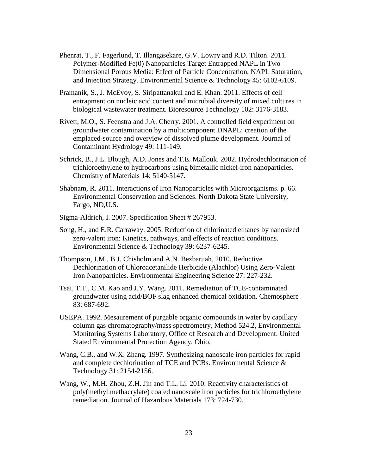- Phenrat, T., F. Fagerlund, T. Illangasekare, G.V. Lowry and R.D. Tilton. 2011. Polymer-Modified Fe(0) Nanoparticles Target Entrapped NAPL in Two Dimensional Porous Media: Effect of Particle Concentration, NAPL Saturation, and Injection Strategy. Environmental Science & Technology 45: 6102-6109.
- Pramanik, S., J. McEvoy, S. Siripattanakul and E. Khan. 2011. Effects of cell entrapment on nucleic acid content and microbial diversity of mixed cultures in biological wastewater treatment. Bioresource Technology 102: 3176-3183.
- Rivett, M.O., S. Feenstra and J.A. Cherry. 2001. A controlled field experiment on groundwater contamination by a multicomponent DNAPL: creation of the emplaced-source and overview of dissolved plume development. Journal of Contaminant Hydrology 49: 111-149.
- Schrick, B., J.L. Blough, A.D. Jones and T.E. Mallouk. 2002. Hydrodechlorination of trichloroethylene to hydrocarbons using bimetallic nickel-iron nanoparticles. Chemistry of Materials 14: 5140-5147.
- Shabnam, R. 2011. Interactions of Iron Nanoparticles with Microorganisms. p. 66. Environmental Conservation and Sciences. North Dakota State University, Fargo, ND,U.S.
- Sigma-Aldrich, I. 2007. Specification Sheet # 267953.
- Song, H., and E.R. Carraway. 2005. Reduction of chlorinated ethanes by nanosized zero-valent iron: Kinetics, pathways, and effects of reaction conditions. Environmental Science & Technology 39: 6237-6245.
- Thompson, J.M., B.J. Chisholm and A.N. Bezbaruah. 2010. Reductive Dechlorination of Chloroacetanilide Herbicide (Alachlor) Using Zero-Valent Iron Nanoparticles. Environmental Engineering Science 27: 227-232.
- Tsai, T.T., C.M. Kao and J.Y. Wang. 2011. Remediation of TCE-contaminated groundwater using acid/BOF slag enhanced chemical oxidation. Chemosphere 83: 687-692.
- USEPA. 1992. Mesaurement of purgable organic compounds in water by capillary column gas chromatography/mass spectrometry, Method 524.2, Environmental Monitoring Systems Laboratory, Office of Research and Development. United Stated Environmental Protection Agency, Ohio.
- Wang, C.B., and W.X. Zhang. 1997. Synthesizing nanoscale iron particles for rapid and complete dechlorination of TCE and PCBs. Environmental Science & Technology 31: 2154-2156.
- Wang, W., M.H. Zhou, Z.H. Jin and T.L. Li. 2010. Reactivity characteristics of poly(methyl methacrylate) coated nanoscale iron particles for trichloroethylene remediation. Journal of Hazardous Materials 173: 724-730.